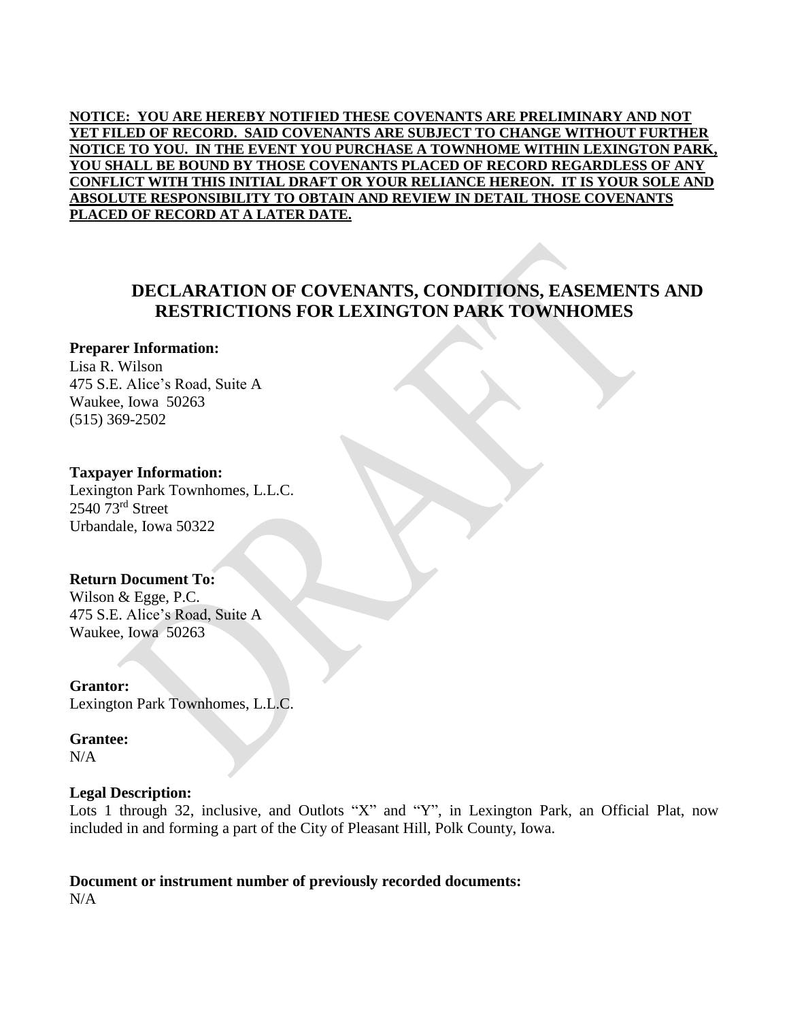**NOTICE: YOU ARE HEREBY NOTIFIED THESE COVENANTS ARE PRELIMINARY AND NOT YET FILED OF RECORD. SAID COVENANTS ARE SUBJECT TO CHANGE WITHOUT FURTHER NOTICE TO YOU. IN THE EVENT YOU PURCHASE A TOWNHOME WITHIN LEXINGTON PARK, YOU SHALL BE BOUND BY THOSE COVENANTS PLACED OF RECORD REGARDLESS OF ANY CONFLICT WITH THIS INITIAL DRAFT OR YOUR RELIANCE HEREON. IT IS YOUR SOLE AND ABSOLUTE RESPONSIBILITY TO OBTAIN AND REVIEW IN DETAIL THOSE COVENANTS PLACED OF RECORD AT A LATER DATE.** 

# **DECLARATION OF COVENANTS, CONDITIONS, EASEMENTS AND RESTRICTIONS FOR LEXINGTON PARK TOWNHOMES**

## **Preparer Information:**

Lisa R. Wilson 475 S.E. Alice's Road, Suite A Waukee, Iowa 50263 (515) 369-2502

#### **Taxpayer Information:**

Lexington Park Townhomes, L.L.C. 2540 73rd Street Urbandale, Iowa 50322

## **Return Document To:**

Wilson & Egge, P.C. 475 S.E. Alice's Road, Suite A Waukee, Iowa 50263

**Grantor:**  Lexington Park Townhomes, L.L.C.

#### **Grantee:**  N/A

## **Legal Description:**

Lots 1 through 32, inclusive, and Outlots "X" and "Y", in Lexington Park, an Official Plat, now included in and forming a part of the City of Pleasant Hill, Polk County, Iowa.

# **Document or instrument number of previously recorded documents:**

N/A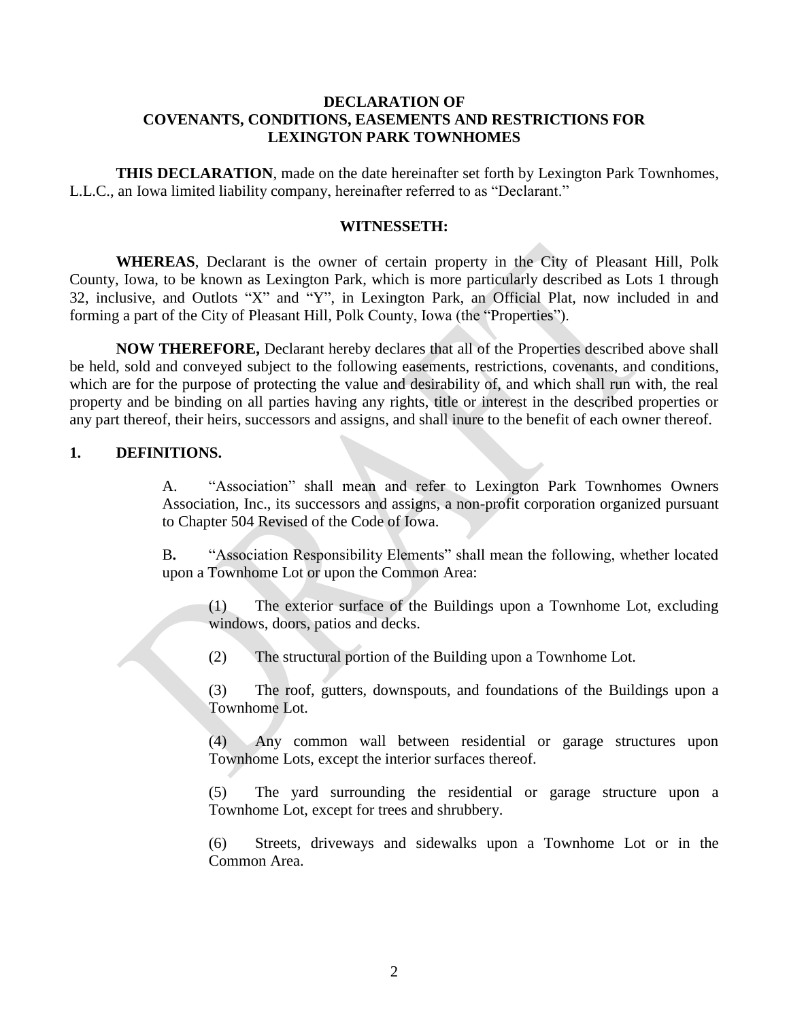## **DECLARATION OF COVENANTS, CONDITIONS, EASEMENTS AND RESTRICTIONS FOR LEXINGTON PARK TOWNHOMES**

**THIS DECLARATION**, made on the date hereinafter set forth by Lexington Park Townhomes, L.L.C., an Iowa limited liability company, hereinafter referred to as "Declarant."

#### **WITNESSETH:**

**WHEREAS**, Declarant is the owner of certain property in the City of Pleasant Hill, Polk County, Iowa, to be known as Lexington Park, which is more particularly described as Lots 1 through 32, inclusive, and Outlots "X" and "Y", in Lexington Park, an Official Plat, now included in and forming a part of the City of Pleasant Hill, Polk County, Iowa (the "Properties").

**NOW THEREFORE,** Declarant hereby declares that all of the Properties described above shall be held, sold and conveyed subject to the following easements, restrictions, covenants, and conditions, which are for the purpose of protecting the value and desirability of, and which shall run with, the real property and be binding on all parties having any rights, title or interest in the described properties or any part thereof, their heirs, successors and assigns, and shall inure to the benefit of each owner thereof.

#### **1. DEFINITIONS.**

A. "Association" shall mean and refer to Lexington Park Townhomes Owners Association, Inc., its successors and assigns, a non-profit corporation organized pursuant to Chapter 504 Revised of the Code of Iowa.

B**.** "Association Responsibility Elements" shall mean the following, whether located upon a Townhome Lot or upon the Common Area:

(1) The exterior surface of the Buildings upon a Townhome Lot, excluding windows, doors, patios and decks.

(2) The structural portion of the Building upon a Townhome Lot.

(3) The roof, gutters, downspouts, and foundations of the Buildings upon a Townhome Lot.

(4) Any common wall between residential or garage structures upon Townhome Lots, except the interior surfaces thereof.

(5) The yard surrounding the residential or garage structure upon a Townhome Lot, except for trees and shrubbery.

(6) Streets, driveways and sidewalks upon a Townhome Lot or in the Common Area.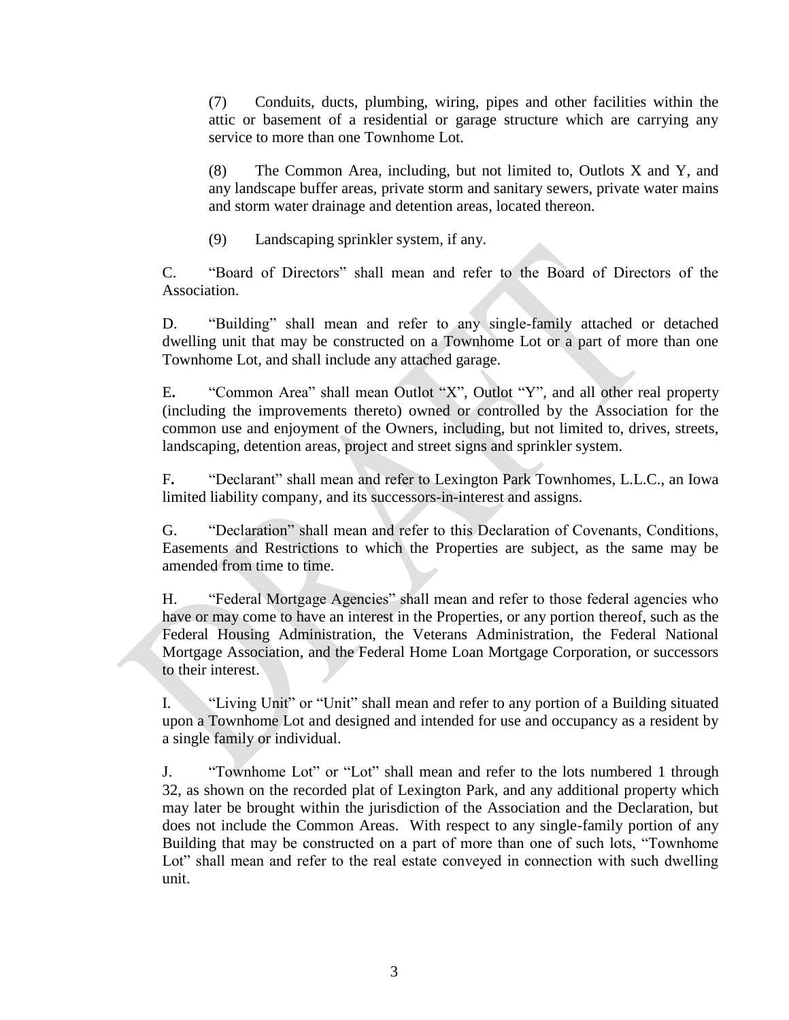(7) Conduits, ducts, plumbing, wiring, pipes and other facilities within the attic or basement of a residential or garage structure which are carrying any service to more than one Townhome Lot.

(8) The Common Area, including, but not limited to, Outlots X and Y, and any landscape buffer areas, private storm and sanitary sewers, private water mains and storm water drainage and detention areas, located thereon.

(9) Landscaping sprinkler system, if any.

C. "Board of Directors" shall mean and refer to the Board of Directors of the Association.

D. "Building" shall mean and refer to any single-family attached or detached dwelling unit that may be constructed on a Townhome Lot or a part of more than one Townhome Lot, and shall include any attached garage.

E**.** "Common Area" shall mean Outlot "X", Outlot "Y", and all other real property (including the improvements thereto) owned or controlled by the Association for the common use and enjoyment of the Owners, including, but not limited to, drives, streets, landscaping, detention areas, project and street signs and sprinkler system.

F**.** "Declarant" shall mean and refer to Lexington Park Townhomes, L.L.C., an Iowa limited liability company, and its successors-in-interest and assigns.

G. "Declaration" shall mean and refer to this Declaration of Covenants, Conditions, Easements and Restrictions to which the Properties are subject, as the same may be amended from time to time.

H. "Federal Mortgage Agencies" shall mean and refer to those federal agencies who have or may come to have an interest in the Properties, or any portion thereof, such as the Federal Housing Administration, the Veterans Administration, the Federal National Mortgage Association, and the Federal Home Loan Mortgage Corporation, or successors to their interest.

I. "Living Unit" or "Unit" shall mean and refer to any portion of a Building situated upon a Townhome Lot and designed and intended for use and occupancy as a resident by a single family or individual.

J. "Townhome Lot" or "Lot" shall mean and refer to the lots numbered 1 through 32, as shown on the recorded plat of Lexington Park, and any additional property which may later be brought within the jurisdiction of the Association and the Declaration, but does not include the Common Areas. With respect to any single-family portion of any Building that may be constructed on a part of more than one of such lots, "Townhome Lot" shall mean and refer to the real estate conveyed in connection with such dwelling unit.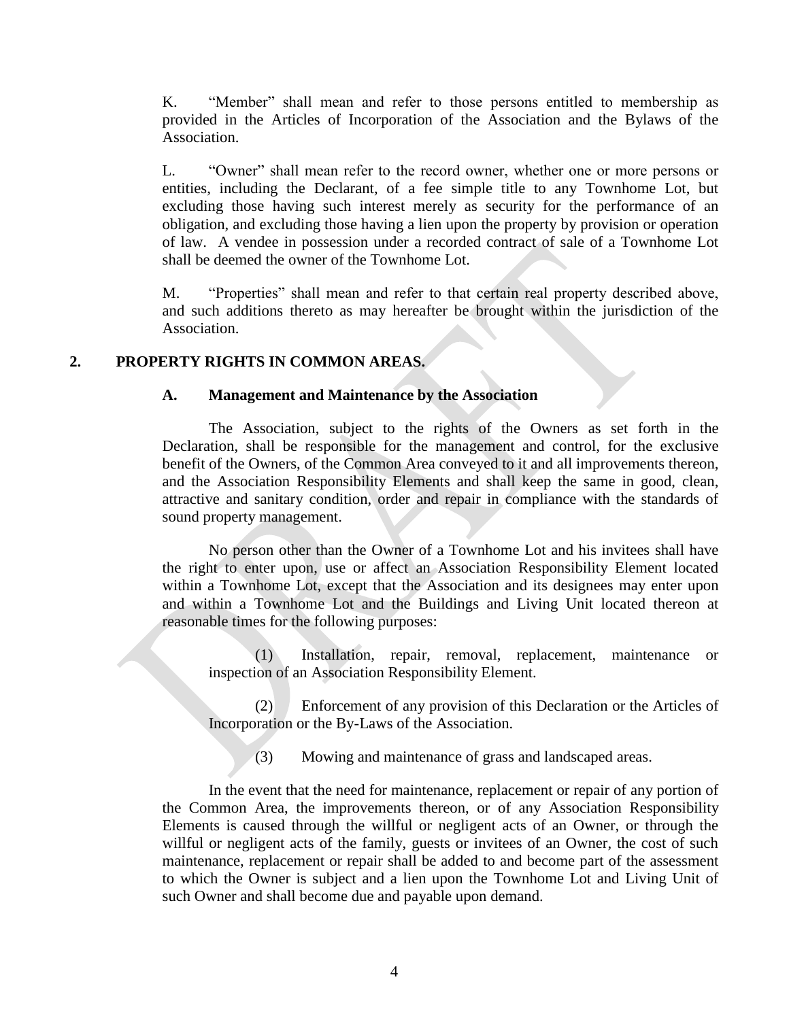K. "Member" shall mean and refer to those persons entitled to membership as provided in the Articles of Incorporation of the Association and the Bylaws of the Association.

L. "Owner" shall mean refer to the record owner, whether one or more persons or entities, including the Declarant, of a fee simple title to any Townhome Lot, but excluding those having such interest merely as security for the performance of an obligation, and excluding those having a lien upon the property by provision or operation of law. A vendee in possession under a recorded contract of sale of a Townhome Lot shall be deemed the owner of the Townhome Lot.

M. "Properties" shall mean and refer to that certain real property described above, and such additions thereto as may hereafter be brought within the jurisdiction of the Association.

## **2. PROPERTY RIGHTS IN COMMON AREAS.**

## **A. Management and Maintenance by the Association**

The Association, subject to the rights of the Owners as set forth in the Declaration, shall be responsible for the management and control, for the exclusive benefit of the Owners, of the Common Area conveyed to it and all improvements thereon, and the Association Responsibility Elements and shall keep the same in good, clean, attractive and sanitary condition, order and repair in compliance with the standards of sound property management.

No person other than the Owner of a Townhome Lot and his invitees shall have the right to enter upon, use or affect an Association Responsibility Element located within a Townhome Lot, except that the Association and its designees may enter upon and within a Townhome Lot and the Buildings and Living Unit located thereon at reasonable times for the following purposes:

(1) Installation, repair, removal, replacement, maintenance or inspection of an Association Responsibility Element.

(2) Enforcement of any provision of this Declaration or the Articles of Incorporation or the By-Laws of the Association.

(3) Mowing and maintenance of grass and landscaped areas.

In the event that the need for maintenance, replacement or repair of any portion of the Common Area, the improvements thereon, or of any Association Responsibility Elements is caused through the willful or negligent acts of an Owner, or through the willful or negligent acts of the family, guests or invitees of an Owner, the cost of such maintenance, replacement or repair shall be added to and become part of the assessment to which the Owner is subject and a lien upon the Townhome Lot and Living Unit of such Owner and shall become due and payable upon demand.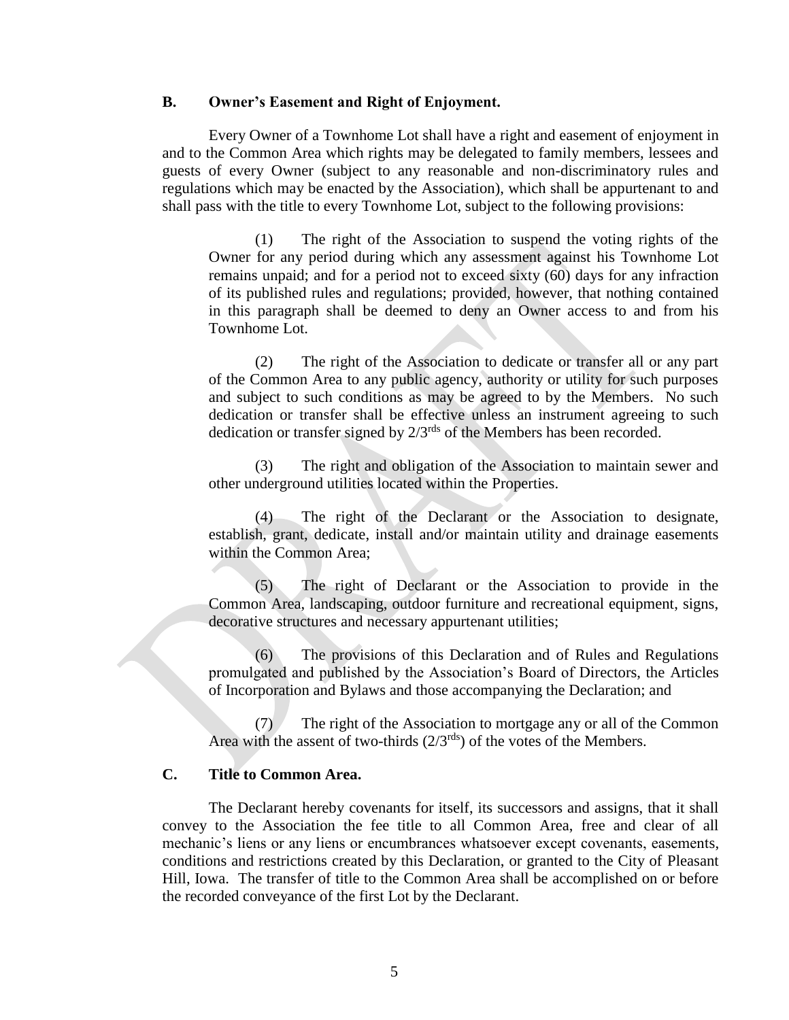#### **B. Owner's Easement and Right of Enjoyment.**

Every Owner of a Townhome Lot shall have a right and easement of enjoyment in and to the Common Area which rights may be delegated to family members, lessees and guests of every Owner (subject to any reasonable and non-discriminatory rules and regulations which may be enacted by the Association), which shall be appurtenant to and shall pass with the title to every Townhome Lot, subject to the following provisions:

(1) The right of the Association to suspend the voting rights of the Owner for any period during which any assessment against his Townhome Lot remains unpaid; and for a period not to exceed sixty (60) days for any infraction of its published rules and regulations; provided, however, that nothing contained in this paragraph shall be deemed to deny an Owner access to and from his Townhome Lot.

(2) The right of the Association to dedicate or transfer all or any part of the Common Area to any public agency, authority or utility for such purposes and subject to such conditions as may be agreed to by the Members. No such dedication or transfer shall be effective unless an instrument agreeing to such dedication or transfer signed by  $2/3^{rds}$  of the Members has been recorded.

(3) The right and obligation of the Association to maintain sewer and other underground utilities located within the Properties.

(4) The right of the Declarant or the Association to designate, establish, grant, dedicate, install and/or maintain utility and drainage easements within the Common Area;

(5) The right of Declarant or the Association to provide in the Common Area, landscaping, outdoor furniture and recreational equipment, signs, decorative structures and necessary appurtenant utilities;

(6) The provisions of this Declaration and of Rules and Regulations promulgated and published by the Association's Board of Directors, the Articles of Incorporation and Bylaws and those accompanying the Declaration; and

(7) The right of the Association to mortgage any or all of the Common Area with the assent of two-thirds  $(2/3^{rds})$  of the votes of the Members.

## **C. Title to Common Area.**

The Declarant hereby covenants for itself, its successors and assigns, that it shall convey to the Association the fee title to all Common Area, free and clear of all mechanic's liens or any liens or encumbrances whatsoever except covenants, easements, conditions and restrictions created by this Declaration, or granted to the City of Pleasant Hill, Iowa. The transfer of title to the Common Area shall be accomplished on or before the recorded conveyance of the first Lot by the Declarant.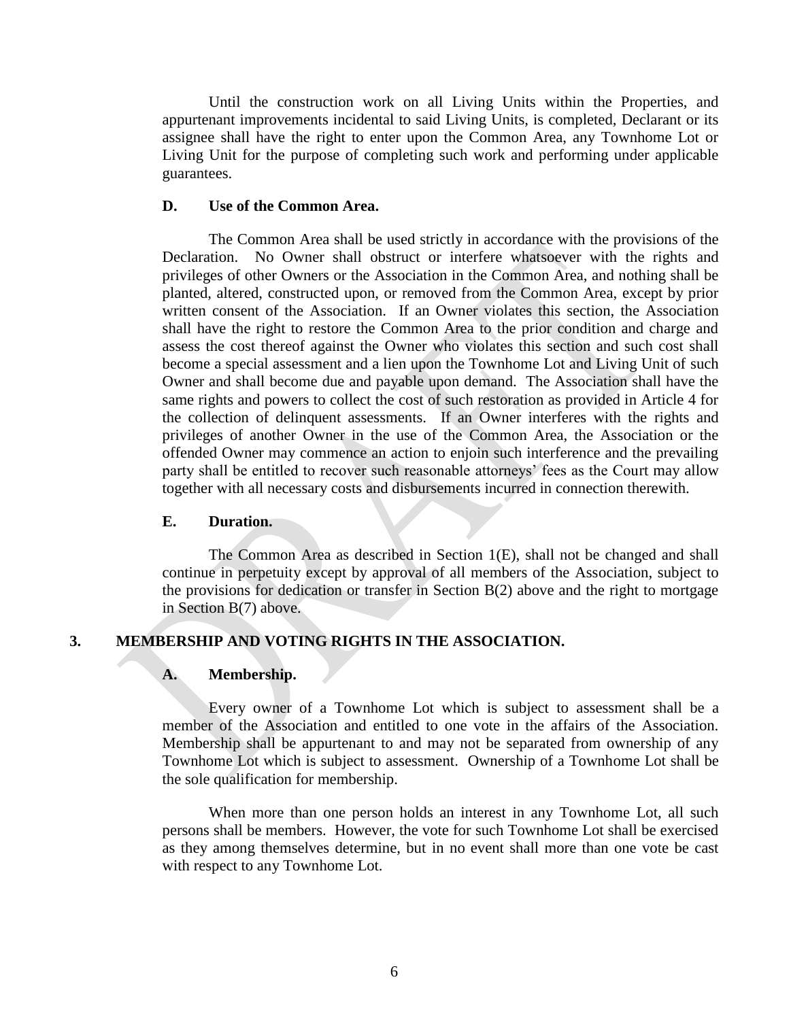Until the construction work on all Living Units within the Properties, and appurtenant improvements incidental to said Living Units, is completed, Declarant or its assignee shall have the right to enter upon the Common Area, any Townhome Lot or Living Unit for the purpose of completing such work and performing under applicable guarantees.

## **D. Use of the Common Area.**

The Common Area shall be used strictly in accordance with the provisions of the Declaration. No Owner shall obstruct or interfere whatsoever with the rights and privileges of other Owners or the Association in the Common Area, and nothing shall be planted, altered, constructed upon, or removed from the Common Area, except by prior written consent of the Association. If an Owner violates this section, the Association shall have the right to restore the Common Area to the prior condition and charge and assess the cost thereof against the Owner who violates this section and such cost shall become a special assessment and a lien upon the Townhome Lot and Living Unit of such Owner and shall become due and payable upon demand. The Association shall have the same rights and powers to collect the cost of such restoration as provided in Article 4 for the collection of delinquent assessments. If an Owner interferes with the rights and privileges of another Owner in the use of the Common Area, the Association or the offended Owner may commence an action to enjoin such interference and the prevailing party shall be entitled to recover such reasonable attorneys' fees as the Court may allow together with all necessary costs and disbursements incurred in connection therewith.

#### **E. Duration.**

The Common Area as described in Section 1(E), shall not be changed and shall continue in perpetuity except by approval of all members of the Association, subject to the provisions for dedication or transfer in Section B(2) above and the right to mortgage in Section B(7) above.

#### **3. MEMBERSHIP AND VOTING RIGHTS IN THE ASSOCIATION.**

#### **A. Membership.**

Every owner of a Townhome Lot which is subject to assessment shall be a member of the Association and entitled to one vote in the affairs of the Association. Membership shall be appurtenant to and may not be separated from ownership of any Townhome Lot which is subject to assessment. Ownership of a Townhome Lot shall be the sole qualification for membership.

When more than one person holds an interest in any Townhome Lot, all such persons shall be members. However, the vote for such Townhome Lot shall be exercised as they among themselves determine, but in no event shall more than one vote be cast with respect to any Townhome Lot.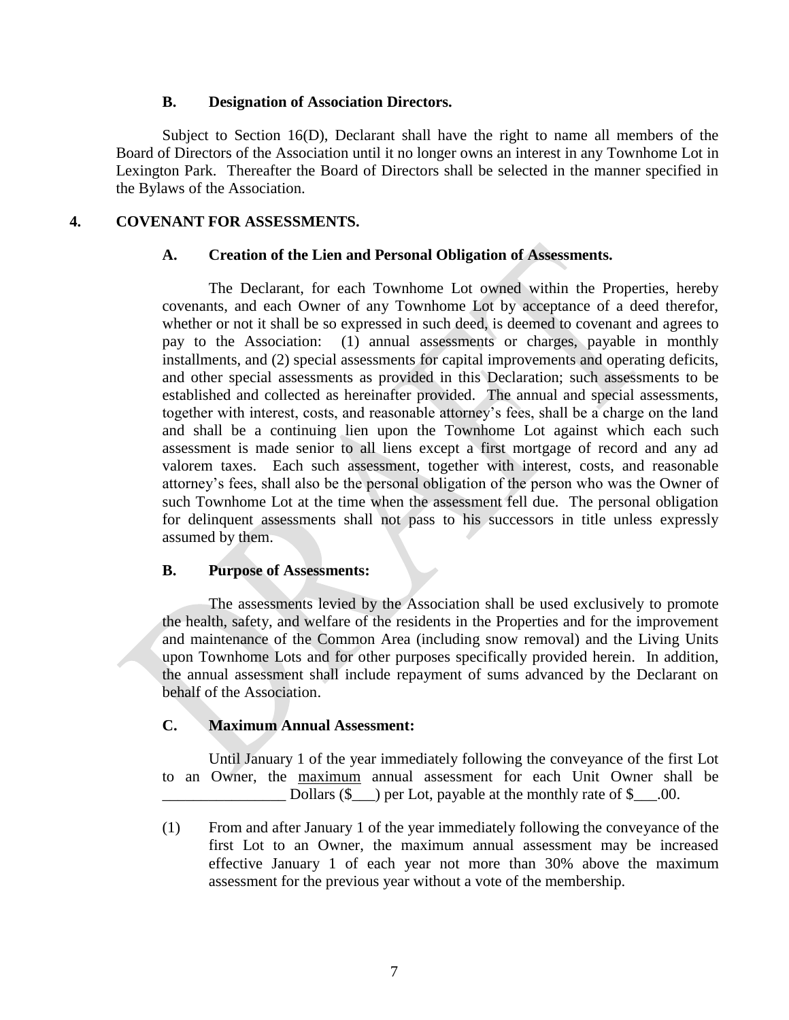#### **B. Designation of Association Directors.**

Subject to Section 16(D), Declarant shall have the right to name all members of the Board of Directors of the Association until it no longer owns an interest in any Townhome Lot in Lexington Park. Thereafter the Board of Directors shall be selected in the manner specified in the Bylaws of the Association.

## **4. COVENANT FOR ASSESSMENTS.**

## **A. Creation of the Lien and Personal Obligation of Assessments.**

The Declarant, for each Townhome Lot owned within the Properties, hereby covenants, and each Owner of any Townhome Lot by acceptance of a deed therefor, whether or not it shall be so expressed in such deed, is deemed to covenant and agrees to pay to the Association: (1) annual assessments or charges, payable in monthly installments, and (2) special assessments for capital improvements and operating deficits, and other special assessments as provided in this Declaration; such assessments to be established and collected as hereinafter provided. The annual and special assessments, together with interest, costs, and reasonable attorney's fees, shall be a charge on the land and shall be a continuing lien upon the Townhome Lot against which each such assessment is made senior to all liens except a first mortgage of record and any ad valorem taxes. Each such assessment, together with interest, costs, and reasonable attorney's fees, shall also be the personal obligation of the person who was the Owner of such Townhome Lot at the time when the assessment fell due. The personal obligation for delinquent assessments shall not pass to his successors in title unless expressly assumed by them.

#### **B. Purpose of Assessments:**

The assessments levied by the Association shall be used exclusively to promote the health, safety, and welfare of the residents in the Properties and for the improvement and maintenance of the Common Area (including snow removal) and the Living Units upon Townhome Lots and for other purposes specifically provided herein. In addition, the annual assessment shall include repayment of sums advanced by the Declarant on behalf of the Association.

## **C. Maximum Annual Assessment:**

Until January 1 of the year immediately following the conveyance of the first Lot to an Owner, the maximum annual assessment for each Unit Owner shall be Dollars  $(\$$  ) per Lot, payable at the monthly rate of  $\$$  00.

(1) From and after January 1 of the year immediately following the conveyance of the first Lot to an Owner, the maximum annual assessment may be increased effective January 1 of each year not more than 30% above the maximum assessment for the previous year without a vote of the membership.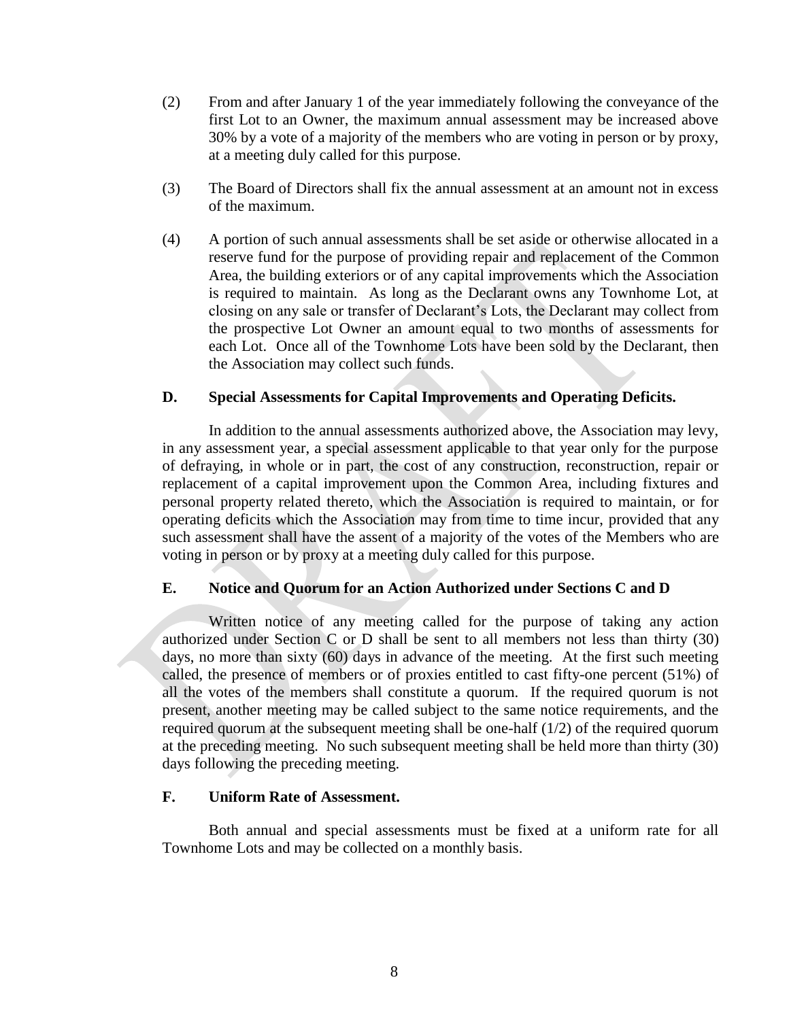- (2) From and after January 1 of the year immediately following the conveyance of the first Lot to an Owner, the maximum annual assessment may be increased above 30% by a vote of a majority of the members who are voting in person or by proxy, at a meeting duly called for this purpose.
- (3) The Board of Directors shall fix the annual assessment at an amount not in excess of the maximum.
- (4) A portion of such annual assessments shall be set aside or otherwise allocated in a reserve fund for the purpose of providing repair and replacement of the Common Area, the building exteriors or of any capital improvements which the Association is required to maintain. As long as the Declarant owns any Townhome Lot, at closing on any sale or transfer of Declarant's Lots, the Declarant may collect from the prospective Lot Owner an amount equal to two months of assessments for each Lot. Once all of the Townhome Lots have been sold by the Declarant, then the Association may collect such funds.

## **D. Special Assessments for Capital Improvements and Operating Deficits.**

In addition to the annual assessments authorized above, the Association may levy, in any assessment year, a special assessment applicable to that year only for the purpose of defraying, in whole or in part, the cost of any construction, reconstruction, repair or replacement of a capital improvement upon the Common Area, including fixtures and personal property related thereto, which the Association is required to maintain, or for operating deficits which the Association may from time to time incur, provided that any such assessment shall have the assent of a majority of the votes of the Members who are voting in person or by proxy at a meeting duly called for this purpose.

## **E. Notice and Quorum for an Action Authorized under Sections C and D**

Written notice of any meeting called for the purpose of taking any action authorized under Section C or D shall be sent to all members not less than thirty (30) days, no more than sixty (60) days in advance of the meeting. At the first such meeting called, the presence of members or of proxies entitled to cast fifty-one percent (51%) of all the votes of the members shall constitute a quorum. If the required quorum is not present, another meeting may be called subject to the same notice requirements, and the required quorum at the subsequent meeting shall be one-half (1/2) of the required quorum at the preceding meeting. No such subsequent meeting shall be held more than thirty (30) days following the preceding meeting.

#### **F. Uniform Rate of Assessment.**

Both annual and special assessments must be fixed at a uniform rate for all Townhome Lots and may be collected on a monthly basis.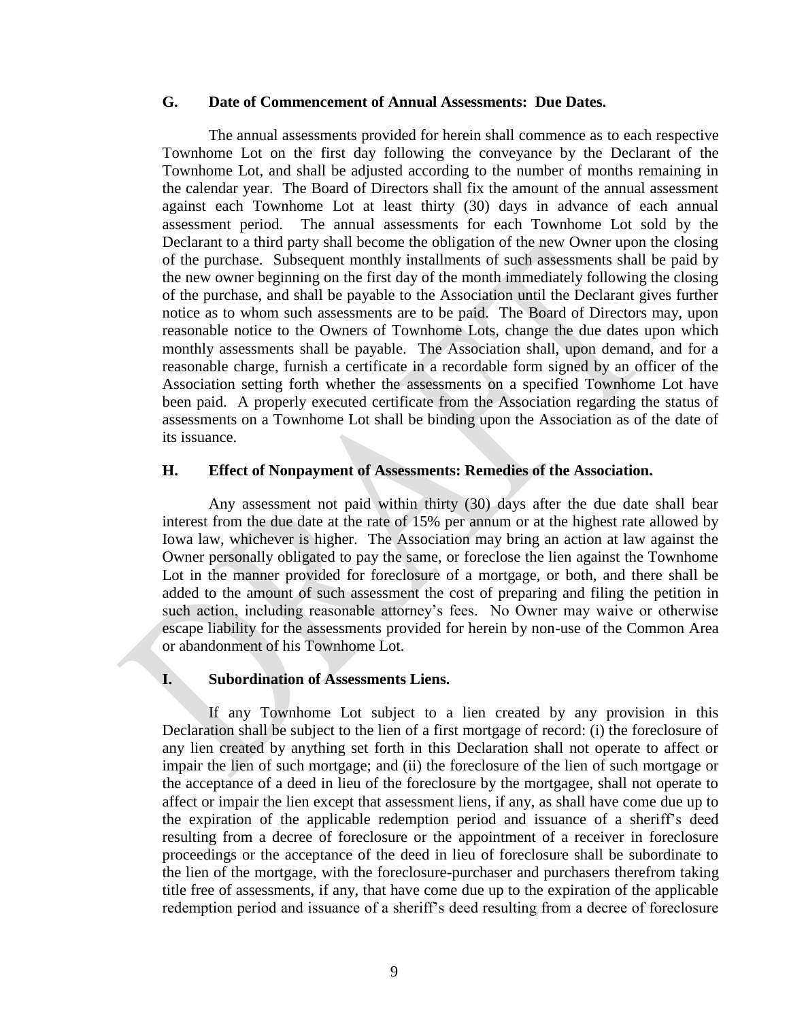## **G. Date of Commencement of Annual Assessments: Due Dates.**

The annual assessments provided for herein shall commence as to each respective Townhome Lot on the first day following the conveyance by the Declarant of the Townhome Lot, and shall be adjusted according to the number of months remaining in the calendar year. The Board of Directors shall fix the amount of the annual assessment against each Townhome Lot at least thirty (30) days in advance of each annual assessment period. The annual assessments for each Townhome Lot sold by the Declarant to a third party shall become the obligation of the new Owner upon the closing of the purchase. Subsequent monthly installments of such assessments shall be paid by the new owner beginning on the first day of the month immediately following the closing of the purchase, and shall be payable to the Association until the Declarant gives further notice as to whom such assessments are to be paid. The Board of Directors may, upon reasonable notice to the Owners of Townhome Lots, change the due dates upon which monthly assessments shall be payable. The Association shall, upon demand, and for a reasonable charge, furnish a certificate in a recordable form signed by an officer of the Association setting forth whether the assessments on a specified Townhome Lot have been paid. A properly executed certificate from the Association regarding the status of assessments on a Townhome Lot shall be binding upon the Association as of the date of its issuance.

#### **H. Effect of Nonpayment of Assessments: Remedies of the Association.**

Any assessment not paid within thirty (30) days after the due date shall bear interest from the due date at the rate of 15% per annum or at the highest rate allowed by Iowa law, whichever is higher. The Association may bring an action at law against the Owner personally obligated to pay the same, or foreclose the lien against the Townhome Lot in the manner provided for foreclosure of a mortgage, or both, and there shall be added to the amount of such assessment the cost of preparing and filing the petition in such action, including reasonable attorney's fees. No Owner may waive or otherwise escape liability for the assessments provided for herein by non-use of the Common Area or abandonment of his Townhome Lot.

## **I. Subordination of Assessments Liens.**

If any Townhome Lot subject to a lien created by any provision in this Declaration shall be subject to the lien of a first mortgage of record: (i) the foreclosure of any lien created by anything set forth in this Declaration shall not operate to affect or impair the lien of such mortgage; and (ii) the foreclosure of the lien of such mortgage or the acceptance of a deed in lieu of the foreclosure by the mortgagee, shall not operate to affect or impair the lien except that assessment liens, if any, as shall have come due up to the expiration of the applicable redemption period and issuance of a sheriff's deed resulting from a decree of foreclosure or the appointment of a receiver in foreclosure proceedings or the acceptance of the deed in lieu of foreclosure shall be subordinate to the lien of the mortgage, with the foreclosure-purchaser and purchasers therefrom taking title free of assessments, if any, that have come due up to the expiration of the applicable redemption period and issuance of a sheriff's deed resulting from a decree of foreclosure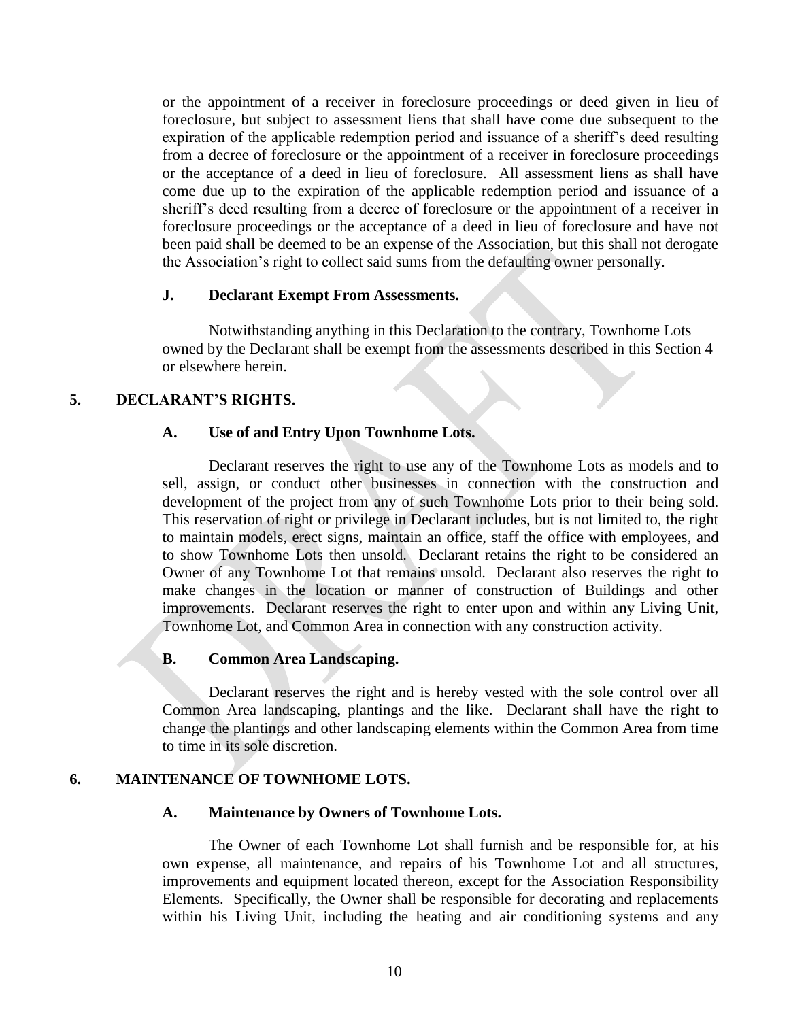or the appointment of a receiver in foreclosure proceedings or deed given in lieu of foreclosure, but subject to assessment liens that shall have come due subsequent to the expiration of the applicable redemption period and issuance of a sheriff's deed resulting from a decree of foreclosure or the appointment of a receiver in foreclosure proceedings or the acceptance of a deed in lieu of foreclosure. All assessment liens as shall have come due up to the expiration of the applicable redemption period and issuance of a sheriff's deed resulting from a decree of foreclosure or the appointment of a receiver in foreclosure proceedings or the acceptance of a deed in lieu of foreclosure and have not been paid shall be deemed to be an expense of the Association, but this shall not derogate the Association's right to collect said sums from the defaulting owner personally.

#### **J. Declarant Exempt From Assessments.**

Notwithstanding anything in this Declaration to the contrary, Townhome Lots owned by the Declarant shall be exempt from the assessments described in this Section 4 or elsewhere herein.

## **5. DECLARANT'S RIGHTS.**

#### **A. Use of and Entry Upon Townhome Lots.**

Declarant reserves the right to use any of the Townhome Lots as models and to sell, assign, or conduct other businesses in connection with the construction and development of the project from any of such Townhome Lots prior to their being sold. This reservation of right or privilege in Declarant includes, but is not limited to, the right to maintain models, erect signs, maintain an office, staff the office with employees, and to show Townhome Lots then unsold. Declarant retains the right to be considered an Owner of any Townhome Lot that remains unsold. Declarant also reserves the right to make changes in the location or manner of construction of Buildings and other improvements. Declarant reserves the right to enter upon and within any Living Unit, Townhome Lot, and Common Area in connection with any construction activity.

#### **B. Common Area Landscaping.**

Declarant reserves the right and is hereby vested with the sole control over all Common Area landscaping, plantings and the like. Declarant shall have the right to change the plantings and other landscaping elements within the Common Area from time to time in its sole discretion.

## **6. MAINTENANCE OF TOWNHOME LOTS.**

#### **A. Maintenance by Owners of Townhome Lots.**

The Owner of each Townhome Lot shall furnish and be responsible for, at his own expense, all maintenance, and repairs of his Townhome Lot and all structures, improvements and equipment located thereon, except for the Association Responsibility Elements. Specifically, the Owner shall be responsible for decorating and replacements within his Living Unit, including the heating and air conditioning systems and any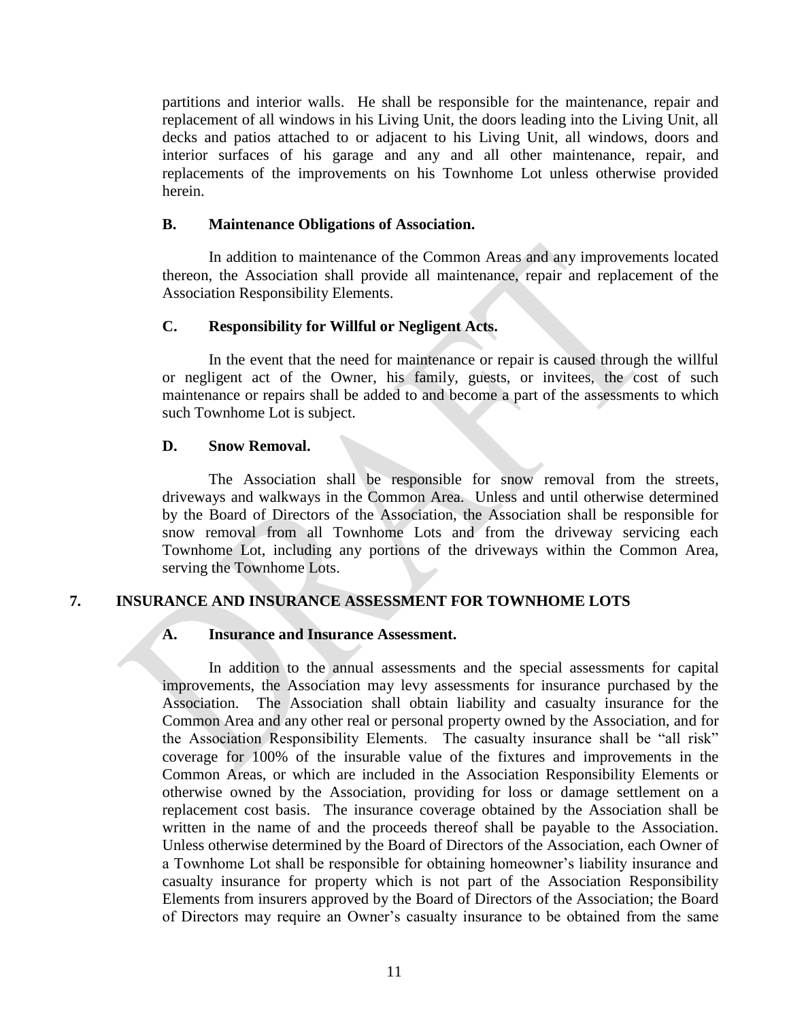partitions and interior walls. He shall be responsible for the maintenance, repair and replacement of all windows in his Living Unit, the doors leading into the Living Unit, all decks and patios attached to or adjacent to his Living Unit, all windows, doors and interior surfaces of his garage and any and all other maintenance, repair, and replacements of the improvements on his Townhome Lot unless otherwise provided herein.

#### **B. Maintenance Obligations of Association.**

In addition to maintenance of the Common Areas and any improvements located thereon, the Association shall provide all maintenance, repair and replacement of the Association Responsibility Elements.

## **C. Responsibility for Willful or Negligent Acts.**

In the event that the need for maintenance or repair is caused through the willful or negligent act of the Owner, his family, guests, or invitees, the cost of such maintenance or repairs shall be added to and become a part of the assessments to which such Townhome Lot is subject.

#### **D. Snow Removal.**

The Association shall be responsible for snow removal from the streets, driveways and walkways in the Common Area. Unless and until otherwise determined by the Board of Directors of the Association, the Association shall be responsible for snow removal from all Townhome Lots and from the driveway servicing each Townhome Lot, including any portions of the driveways within the Common Area, serving the Townhome Lots.

## **7. INSURANCE AND INSURANCE ASSESSMENT FOR TOWNHOME LOTS**

#### **A. Insurance and Insurance Assessment.**

In addition to the annual assessments and the special assessments for capital improvements, the Association may levy assessments for insurance purchased by the Association. The Association shall obtain liability and casualty insurance for the Common Area and any other real or personal property owned by the Association, and for the Association Responsibility Elements. The casualty insurance shall be "all risk" coverage for 100% of the insurable value of the fixtures and improvements in the Common Areas, or which are included in the Association Responsibility Elements or otherwise owned by the Association, providing for loss or damage settlement on a replacement cost basis. The insurance coverage obtained by the Association shall be written in the name of and the proceeds thereof shall be payable to the Association. Unless otherwise determined by the Board of Directors of the Association, each Owner of a Townhome Lot shall be responsible for obtaining homeowner's liability insurance and casualty insurance for property which is not part of the Association Responsibility Elements from insurers approved by the Board of Directors of the Association; the Board of Directors may require an Owner's casualty insurance to be obtained from the same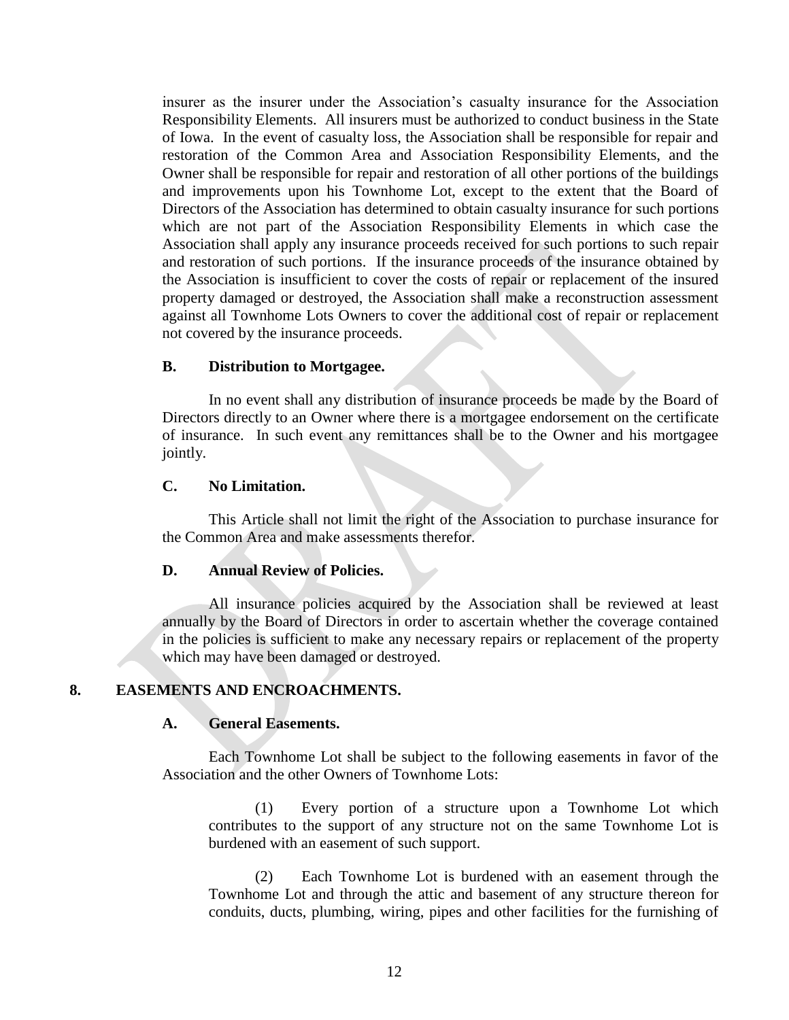insurer as the insurer under the Association's casualty insurance for the Association Responsibility Elements. All insurers must be authorized to conduct business in the State of Iowa. In the event of casualty loss, the Association shall be responsible for repair and restoration of the Common Area and Association Responsibility Elements, and the Owner shall be responsible for repair and restoration of all other portions of the buildings and improvements upon his Townhome Lot, except to the extent that the Board of Directors of the Association has determined to obtain casualty insurance for such portions which are not part of the Association Responsibility Elements in which case the Association shall apply any insurance proceeds received for such portions to such repair and restoration of such portions. If the insurance proceeds of the insurance obtained by the Association is insufficient to cover the costs of repair or replacement of the insured property damaged or destroyed, the Association shall make a reconstruction assessment against all Townhome Lots Owners to cover the additional cost of repair or replacement not covered by the insurance proceeds.

## **B. Distribution to Mortgagee.**

In no event shall any distribution of insurance proceeds be made by the Board of Directors directly to an Owner where there is a mortgagee endorsement on the certificate of insurance. In such event any remittances shall be to the Owner and his mortgagee jointly.

## **C. No Limitation.**

This Article shall not limit the right of the Association to purchase insurance for the Common Area and make assessments therefor.

## **D. Annual Review of Policies.**

All insurance policies acquired by the Association shall be reviewed at least annually by the Board of Directors in order to ascertain whether the coverage contained in the policies is sufficient to make any necessary repairs or replacement of the property which may have been damaged or destroyed.

## **8. EASEMENTS AND ENCROACHMENTS.**

## **A. General Easements.**

Each Townhome Lot shall be subject to the following easements in favor of the Association and the other Owners of Townhome Lots:

(1) Every portion of a structure upon a Townhome Lot which contributes to the support of any structure not on the same Townhome Lot is burdened with an easement of such support.

(2) Each Townhome Lot is burdened with an easement through the Townhome Lot and through the attic and basement of any structure thereon for conduits, ducts, plumbing, wiring, pipes and other facilities for the furnishing of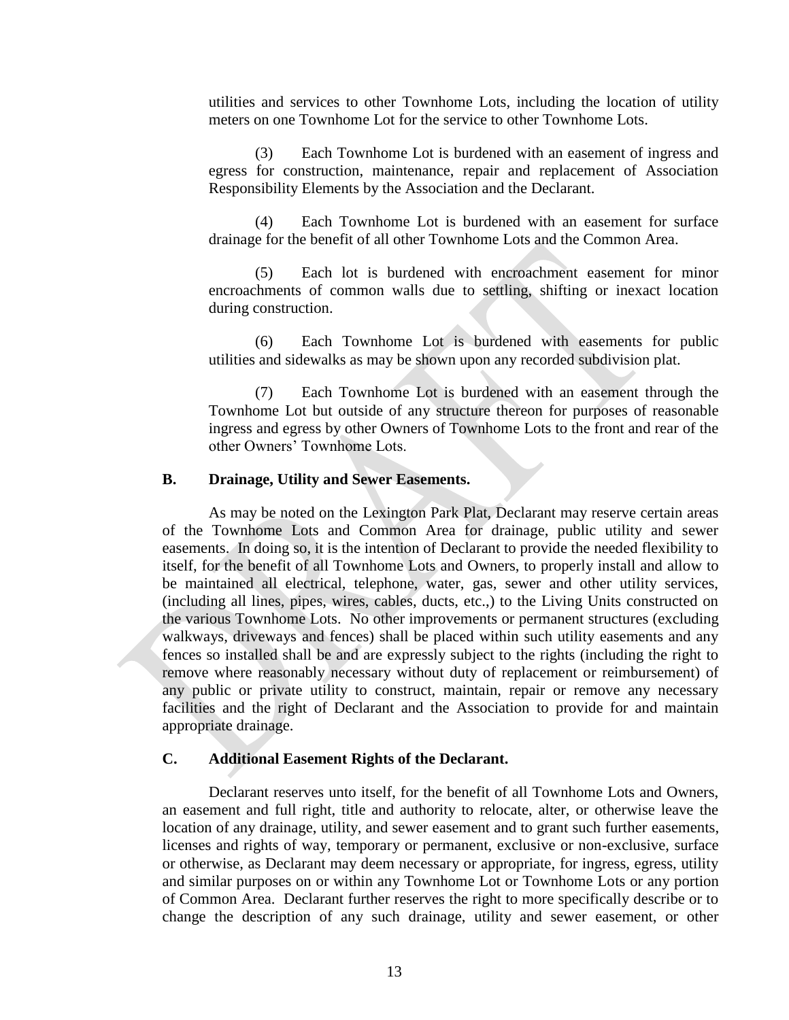utilities and services to other Townhome Lots, including the location of utility meters on one Townhome Lot for the service to other Townhome Lots.

(3) Each Townhome Lot is burdened with an easement of ingress and egress for construction, maintenance, repair and replacement of Association Responsibility Elements by the Association and the Declarant.

(4) Each Townhome Lot is burdened with an easement for surface drainage for the benefit of all other Townhome Lots and the Common Area.

(5) Each lot is burdened with encroachment easement for minor encroachments of common walls due to settling, shifting or inexact location during construction.

(6) Each Townhome Lot is burdened with easements for public utilities and sidewalks as may be shown upon any recorded subdivision plat.

(7) Each Townhome Lot is burdened with an easement through the Townhome Lot but outside of any structure thereon for purposes of reasonable ingress and egress by other Owners of Townhome Lots to the front and rear of the other Owners' Townhome Lots.

## **B. Drainage, Utility and Sewer Easements.**

As may be noted on the Lexington Park Plat, Declarant may reserve certain areas of the Townhome Lots and Common Area for drainage, public utility and sewer easements. In doing so, it is the intention of Declarant to provide the needed flexibility to itself, for the benefit of all Townhome Lots and Owners, to properly install and allow to be maintained all electrical, telephone, water, gas, sewer and other utility services, (including all lines, pipes, wires, cables, ducts, etc.,) to the Living Units constructed on the various Townhome Lots. No other improvements or permanent structures (excluding walkways, driveways and fences) shall be placed within such utility easements and any fences so installed shall be and are expressly subject to the rights (including the right to remove where reasonably necessary without duty of replacement or reimbursement) of any public or private utility to construct, maintain, repair or remove any necessary facilities and the right of Declarant and the Association to provide for and maintain appropriate drainage.

#### **C. Additional Easement Rights of the Declarant.**

Declarant reserves unto itself, for the benefit of all Townhome Lots and Owners, an easement and full right, title and authority to relocate, alter, or otherwise leave the location of any drainage, utility, and sewer easement and to grant such further easements, licenses and rights of way, temporary or permanent, exclusive or non-exclusive, surface or otherwise, as Declarant may deem necessary or appropriate, for ingress, egress, utility and similar purposes on or within any Townhome Lot or Townhome Lots or any portion of Common Area. Declarant further reserves the right to more specifically describe or to change the description of any such drainage, utility and sewer easement, or other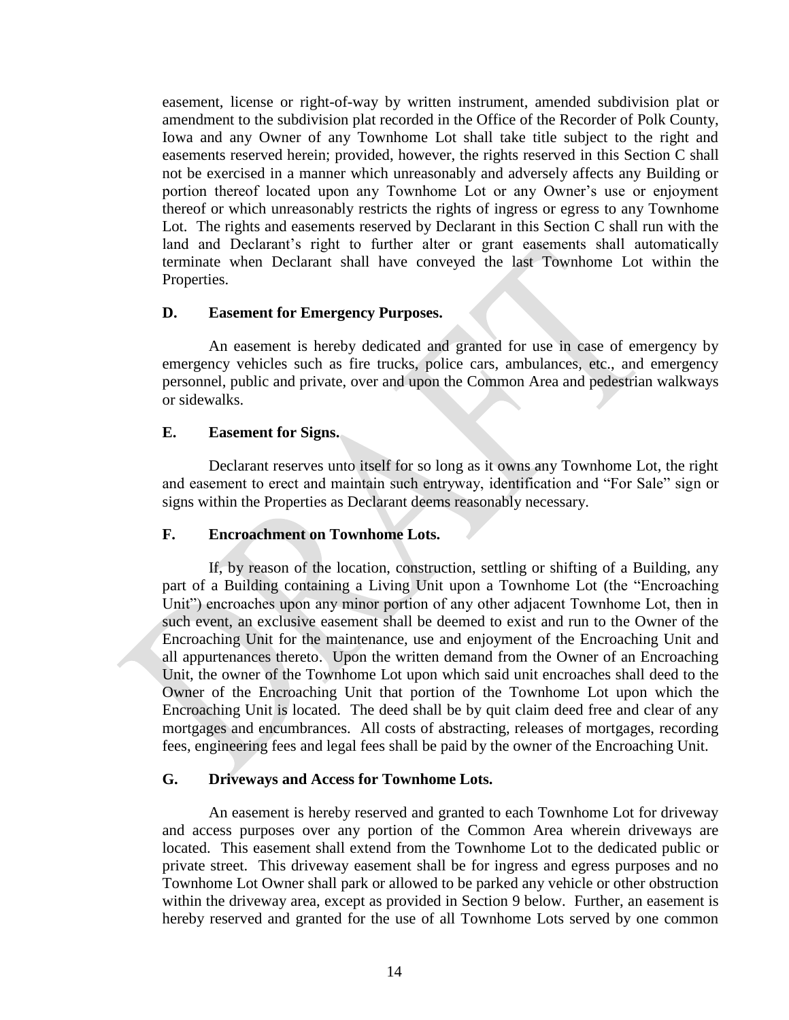easement, license or right-of-way by written instrument, amended subdivision plat or amendment to the subdivision plat recorded in the Office of the Recorder of Polk County, Iowa and any Owner of any Townhome Lot shall take title subject to the right and easements reserved herein; provided, however, the rights reserved in this Section C shall not be exercised in a manner which unreasonably and adversely affects any Building or portion thereof located upon any Townhome Lot or any Owner's use or enjoyment thereof or which unreasonably restricts the rights of ingress or egress to any Townhome Lot. The rights and easements reserved by Declarant in this Section C shall run with the land and Declarant's right to further alter or grant easements shall automatically terminate when Declarant shall have conveyed the last Townhome Lot within the Properties.

#### **D. Easement for Emergency Purposes.**

An easement is hereby dedicated and granted for use in case of emergency by emergency vehicles such as fire trucks, police cars, ambulances, etc., and emergency personnel, public and private, over and upon the Common Area and pedestrian walkways or sidewalks.

#### **E. Easement for Signs.**

Declarant reserves unto itself for so long as it owns any Townhome Lot, the right and easement to erect and maintain such entryway, identification and "For Sale" sign or signs within the Properties as Declarant deems reasonably necessary.

#### **F. Encroachment on Townhome Lots.**

If, by reason of the location, construction, settling or shifting of a Building, any part of a Building containing a Living Unit upon a Townhome Lot (the "Encroaching Unit") encroaches upon any minor portion of any other adjacent Townhome Lot, then in such event, an exclusive easement shall be deemed to exist and run to the Owner of the Encroaching Unit for the maintenance, use and enjoyment of the Encroaching Unit and all appurtenances thereto. Upon the written demand from the Owner of an Encroaching Unit, the owner of the Townhome Lot upon which said unit encroaches shall deed to the Owner of the Encroaching Unit that portion of the Townhome Lot upon which the Encroaching Unit is located. The deed shall be by quit claim deed free and clear of any mortgages and encumbrances. All costs of abstracting, releases of mortgages, recording fees, engineering fees and legal fees shall be paid by the owner of the Encroaching Unit.

#### **G. Driveways and Access for Townhome Lots.**

An easement is hereby reserved and granted to each Townhome Lot for driveway and access purposes over any portion of the Common Area wherein driveways are located. This easement shall extend from the Townhome Lot to the dedicated public or private street. This driveway easement shall be for ingress and egress purposes and no Townhome Lot Owner shall park or allowed to be parked any vehicle or other obstruction within the driveway area, except as provided in Section 9 below. Further, an easement is hereby reserved and granted for the use of all Townhome Lots served by one common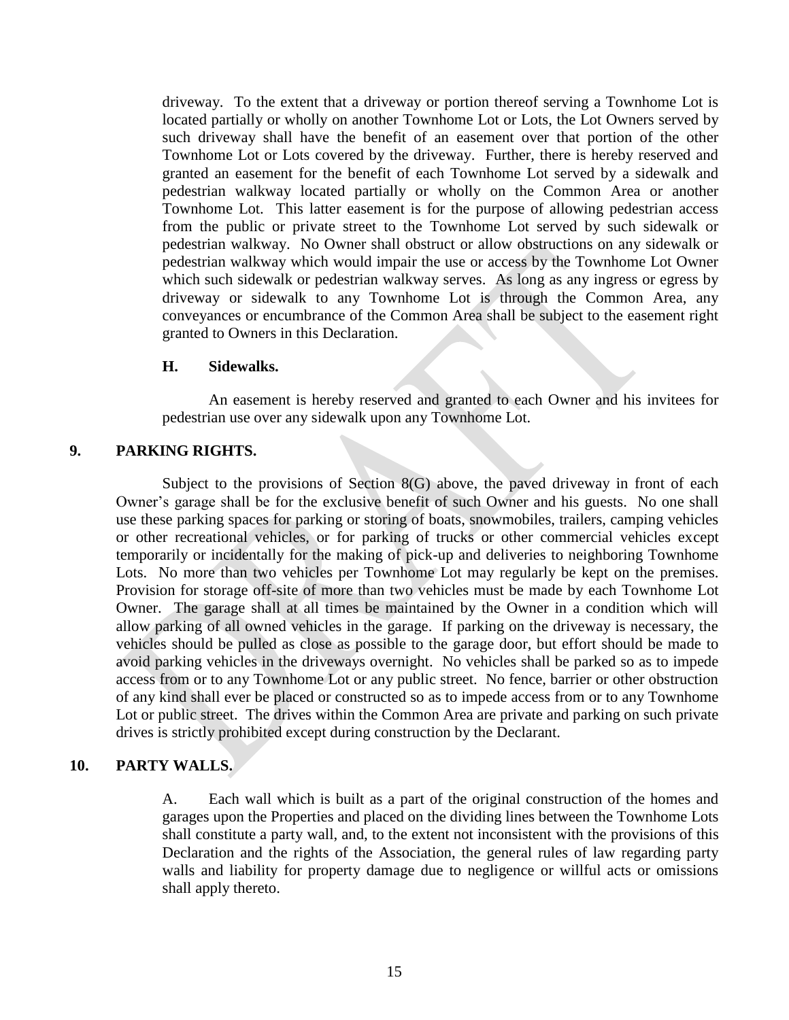driveway. To the extent that a driveway or portion thereof serving a Townhome Lot is located partially or wholly on another Townhome Lot or Lots, the Lot Owners served by such driveway shall have the benefit of an easement over that portion of the other Townhome Lot or Lots covered by the driveway. Further, there is hereby reserved and granted an easement for the benefit of each Townhome Lot served by a sidewalk and pedestrian walkway located partially or wholly on the Common Area or another Townhome Lot. This latter easement is for the purpose of allowing pedestrian access from the public or private street to the Townhome Lot served by such sidewalk or pedestrian walkway. No Owner shall obstruct or allow obstructions on any sidewalk or pedestrian walkway which would impair the use or access by the Townhome Lot Owner which such sidewalk or pedestrian walkway serves. As long as any ingress or egress by driveway or sidewalk to any Townhome Lot is through the Common Area, any conveyances or encumbrance of the Common Area shall be subject to the easement right granted to Owners in this Declaration.

## **H. Sidewalks.**

An easement is hereby reserved and granted to each Owner and his invitees for pedestrian use over any sidewalk upon any Townhome Lot.

## **9. PARKING RIGHTS.**

Subject to the provisions of Section 8(G) above, the paved driveway in front of each Owner's garage shall be for the exclusive benefit of such Owner and his guests. No one shall use these parking spaces for parking or storing of boats, snowmobiles, trailers, camping vehicles or other recreational vehicles, or for parking of trucks or other commercial vehicles except temporarily or incidentally for the making of pick-up and deliveries to neighboring Townhome Lots. No more than two vehicles per Townhome Lot may regularly be kept on the premises. Provision for storage off-site of more than two vehicles must be made by each Townhome Lot Owner. The garage shall at all times be maintained by the Owner in a condition which will allow parking of all owned vehicles in the garage. If parking on the driveway is necessary, the vehicles should be pulled as close as possible to the garage door, but effort should be made to avoid parking vehicles in the driveways overnight. No vehicles shall be parked so as to impede access from or to any Townhome Lot or any public street. No fence, barrier or other obstruction of any kind shall ever be placed or constructed so as to impede access from or to any Townhome Lot or public street. The drives within the Common Area are private and parking on such private drives is strictly prohibited except during construction by the Declarant.

## **10. PARTY WALLS.**

A. Each wall which is built as a part of the original construction of the homes and garages upon the Properties and placed on the dividing lines between the Townhome Lots shall constitute a party wall, and, to the extent not inconsistent with the provisions of this Declaration and the rights of the Association, the general rules of law regarding party walls and liability for property damage due to negligence or willful acts or omissions shall apply thereto.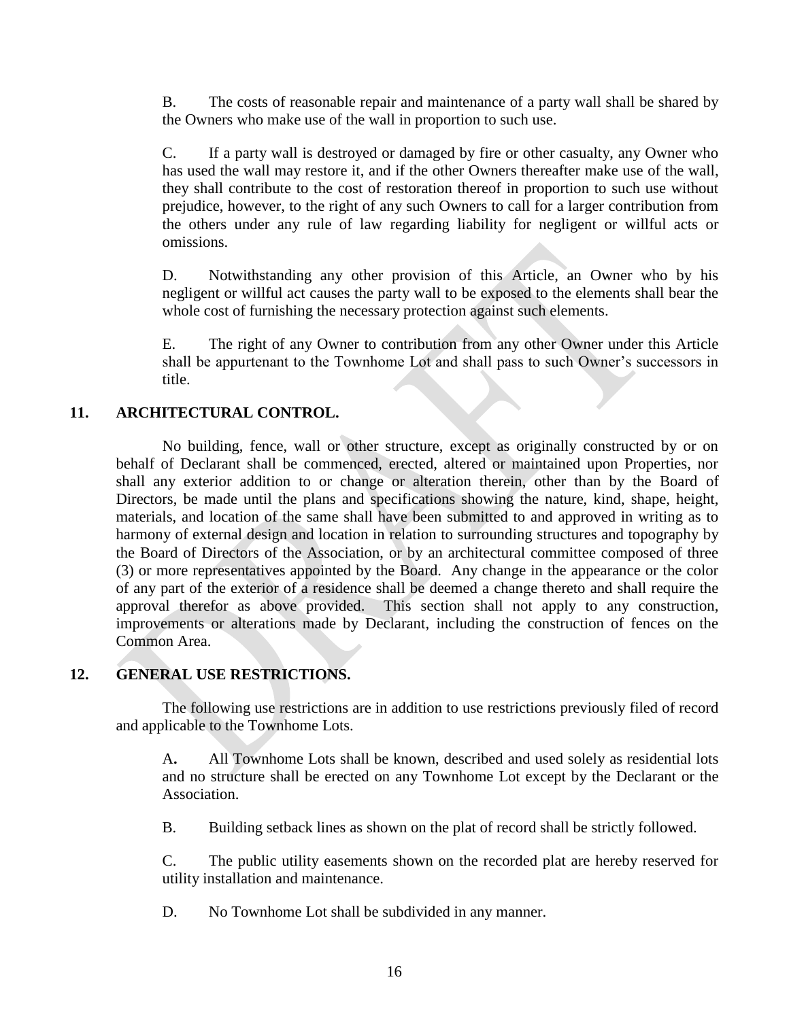B. The costs of reasonable repair and maintenance of a party wall shall be shared by the Owners who make use of the wall in proportion to such use.

C. If a party wall is destroyed or damaged by fire or other casualty, any Owner who has used the wall may restore it, and if the other Owners thereafter make use of the wall, they shall contribute to the cost of restoration thereof in proportion to such use without prejudice, however, to the right of any such Owners to call for a larger contribution from the others under any rule of law regarding liability for negligent or willful acts or omissions.

D. Notwithstanding any other provision of this Article, an Owner who by his negligent or willful act causes the party wall to be exposed to the elements shall bear the whole cost of furnishing the necessary protection against such elements.

E. The right of any Owner to contribution from any other Owner under this Article shall be appurtenant to the Townhome Lot and shall pass to such Owner's successors in title.

## **11. ARCHITECTURAL CONTROL.**

No building, fence, wall or other structure, except as originally constructed by or on behalf of Declarant shall be commenced, erected, altered or maintained upon Properties, nor shall any exterior addition to or change or alteration therein, other than by the Board of Directors, be made until the plans and specifications showing the nature, kind, shape, height, materials, and location of the same shall have been submitted to and approved in writing as to harmony of external design and location in relation to surrounding structures and topography by the Board of Directors of the Association, or by an architectural committee composed of three (3) or more representatives appointed by the Board. Any change in the appearance or the color of any part of the exterior of a residence shall be deemed a change thereto and shall require the approval therefor as above provided. This section shall not apply to any construction, improvements or alterations made by Declarant, including the construction of fences on the Common Area.

## **12. GENERAL USE RESTRICTIONS.**

The following use restrictions are in addition to use restrictions previously filed of record and applicable to the Townhome Lots.

A**.** All Townhome Lots shall be known, described and used solely as residential lots and no structure shall be erected on any Townhome Lot except by the Declarant or the Association.

B. Building setback lines as shown on the plat of record shall be strictly followed.

C. The public utility easements shown on the recorded plat are hereby reserved for utility installation and maintenance.

D. No Townhome Lot shall be subdivided in any manner.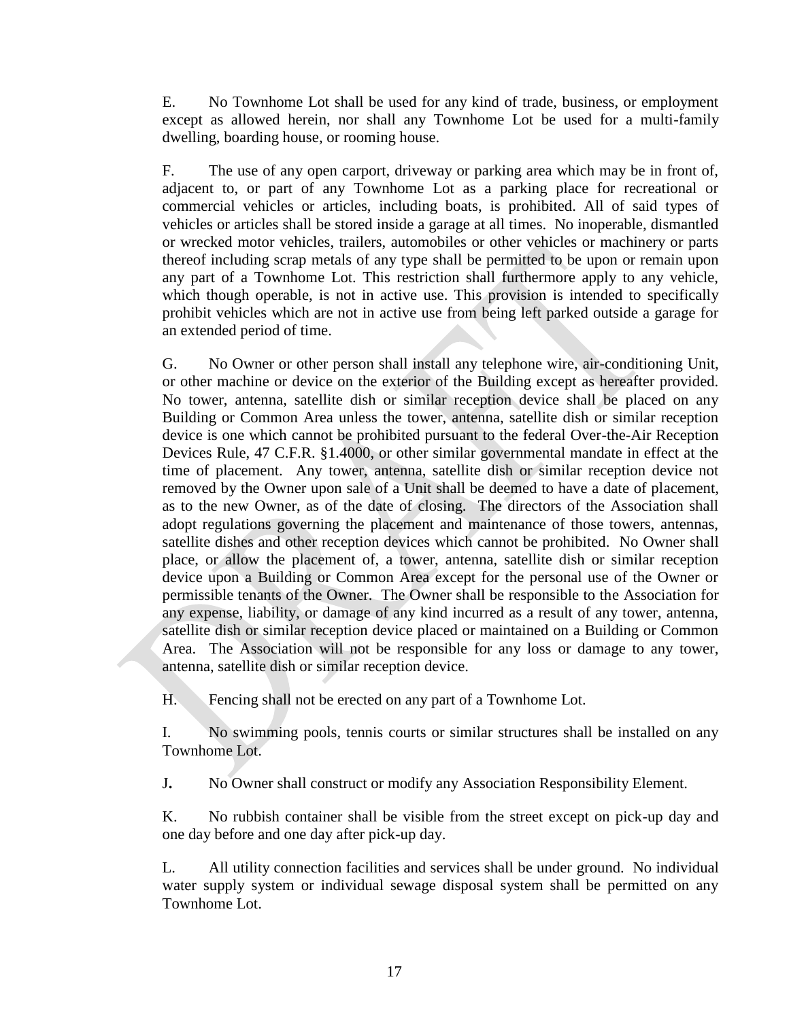E. No Townhome Lot shall be used for any kind of trade, business, or employment except as allowed herein, nor shall any Townhome Lot be used for a multi-family dwelling, boarding house, or rooming house.

F. The use of any open carport, driveway or parking area which may be in front of, adjacent to, or part of any Townhome Lot as a parking place for recreational or commercial vehicles or articles, including boats, is prohibited. All of said types of vehicles or articles shall be stored inside a garage at all times. No inoperable, dismantled or wrecked motor vehicles, trailers, automobiles or other vehicles or machinery or parts thereof including scrap metals of any type shall be permitted to be upon or remain upon any part of a Townhome Lot. This restriction shall furthermore apply to any vehicle, which though operable, is not in active use. This provision is intended to specifically prohibit vehicles which are not in active use from being left parked outside a garage for an extended period of time.

G. No Owner or other person shall install any telephone wire, air-conditioning Unit, or other machine or device on the exterior of the Building except as hereafter provided. No tower, antenna, satellite dish or similar reception device shall be placed on any Building or Common Area unless the tower, antenna, satellite dish or similar reception device is one which cannot be prohibited pursuant to the federal Over-the-Air Reception Devices Rule, 47 C.F.R. §1.4000, or other similar governmental mandate in effect at the time of placement. Any tower, antenna, satellite dish or similar reception device not removed by the Owner upon sale of a Unit shall be deemed to have a date of placement, as to the new Owner, as of the date of closing. The directors of the Association shall adopt regulations governing the placement and maintenance of those towers, antennas, satellite dishes and other reception devices which cannot be prohibited. No Owner shall place, or allow the placement of, a tower, antenna, satellite dish or similar reception device upon a Building or Common Area except for the personal use of the Owner or permissible tenants of the Owner. The Owner shall be responsible to the Association for any expense, liability, or damage of any kind incurred as a result of any tower, antenna, satellite dish or similar reception device placed or maintained on a Building or Common Area. The Association will not be responsible for any loss or damage to any tower, antenna, satellite dish or similar reception device.

H. Fencing shall not be erected on any part of a Townhome Lot.

I. No swimming pools, tennis courts or similar structures shall be installed on any Townhome Lot.

J**.** No Owner shall construct or modify any Association Responsibility Element.

K. No rubbish container shall be visible from the street except on pick-up day and one day before and one day after pick-up day.

L. All utility connection facilities and services shall be under ground. No individual water supply system or individual sewage disposal system shall be permitted on any Townhome Lot.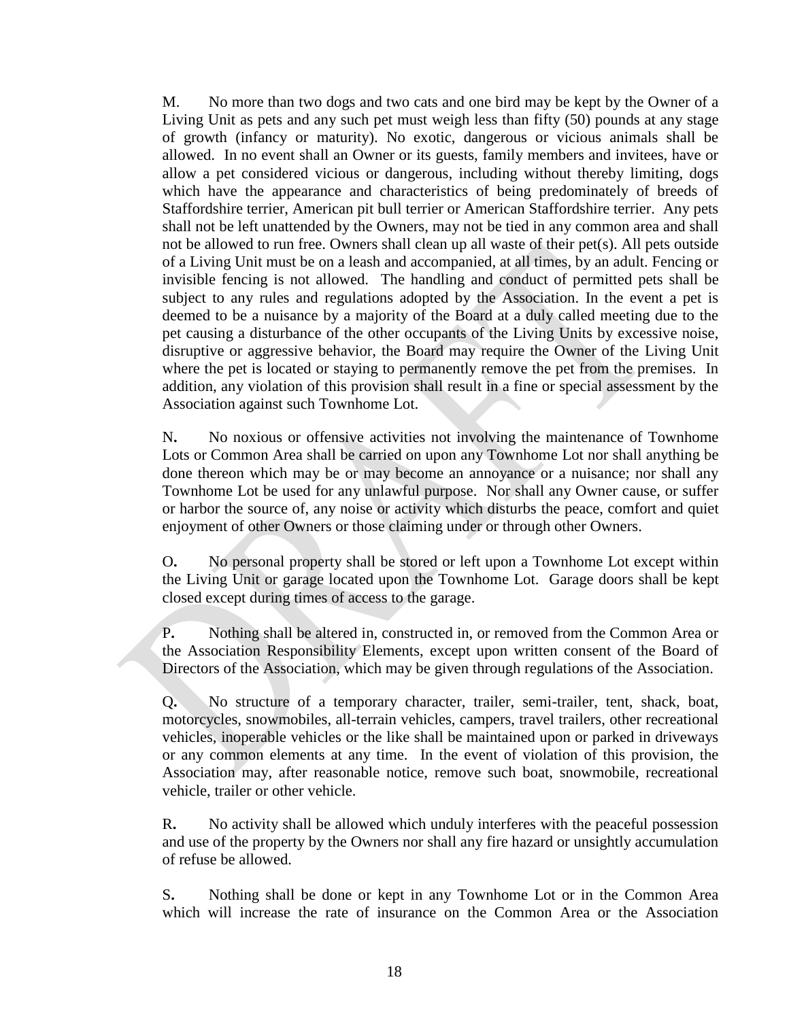M. No more than two dogs and two cats and one bird may be kept by the Owner of a Living Unit as pets and any such pet must weigh less than fifty (50) pounds at any stage of growth (infancy or maturity). No exotic, dangerous or vicious animals shall be allowed. In no event shall an Owner or its guests, family members and invitees, have or allow a pet considered vicious or dangerous, including without thereby limiting, dogs which have the appearance and characteristics of being predominately of breeds of Staffordshire terrier, American pit bull terrier or American Staffordshire terrier. Any pets shall not be left unattended by the Owners, may not be tied in any common area and shall not be allowed to run free. Owners shall clean up all waste of their pet(s). All pets outside of a Living Unit must be on a leash and accompanied, at all times, by an adult. Fencing or invisible fencing is not allowed. The handling and conduct of permitted pets shall be subject to any rules and regulations adopted by the Association. In the event a pet is deemed to be a nuisance by a majority of the Board at a duly called meeting due to the pet causing a disturbance of the other occupants of the Living Units by excessive noise, disruptive or aggressive behavior, the Board may require the Owner of the Living Unit where the pet is located or staying to permanently remove the pet from the premises. In addition, any violation of this provision shall result in a fine or special assessment by the Association against such Townhome Lot.

N**.** No noxious or offensive activities not involving the maintenance of Townhome Lots or Common Area shall be carried on upon any Townhome Lot nor shall anything be done thereon which may be or may become an annoyance or a nuisance; nor shall any Townhome Lot be used for any unlawful purpose. Nor shall any Owner cause, or suffer or harbor the source of, any noise or activity which disturbs the peace, comfort and quiet enjoyment of other Owners or those claiming under or through other Owners.

O**.** No personal property shall be stored or left upon a Townhome Lot except within the Living Unit or garage located upon the Townhome Lot. Garage doors shall be kept closed except during times of access to the garage.

P**.** Nothing shall be altered in, constructed in, or removed from the Common Area or the Association Responsibility Elements, except upon written consent of the Board of Directors of the Association, which may be given through regulations of the Association.

Q**.** No structure of a temporary character, trailer, semi-trailer, tent, shack, boat, motorcycles, snowmobiles, all-terrain vehicles, campers, travel trailers, other recreational vehicles, inoperable vehicles or the like shall be maintained upon or parked in driveways or any common elements at any time. In the event of violation of this provision, the Association may, after reasonable notice, remove such boat, snowmobile, recreational vehicle, trailer or other vehicle.

R**.** No activity shall be allowed which unduly interferes with the peaceful possession and use of the property by the Owners nor shall any fire hazard or unsightly accumulation of refuse be allowed.

S**.** Nothing shall be done or kept in any Townhome Lot or in the Common Area which will increase the rate of insurance on the Common Area or the Association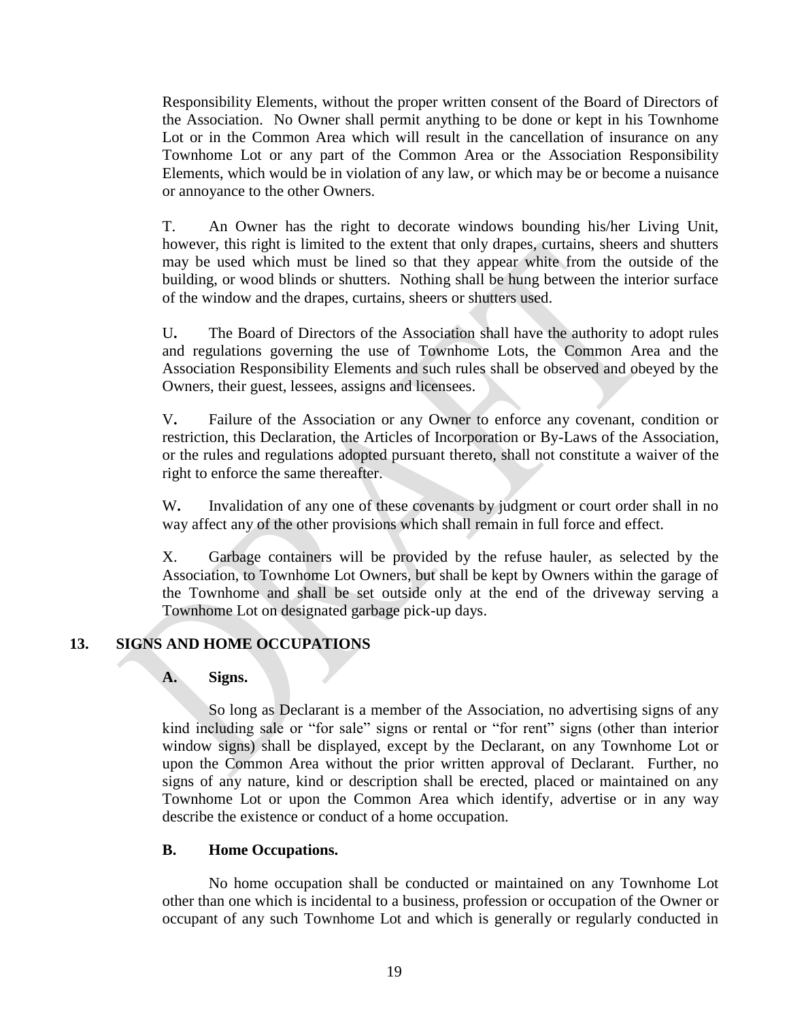Responsibility Elements, without the proper written consent of the Board of Directors of the Association. No Owner shall permit anything to be done or kept in his Townhome Lot or in the Common Area which will result in the cancellation of insurance on any Townhome Lot or any part of the Common Area or the Association Responsibility Elements, which would be in violation of any law, or which may be or become a nuisance or annoyance to the other Owners.

T. An Owner has the right to decorate windows bounding his/her Living Unit, however, this right is limited to the extent that only drapes, curtains, sheers and shutters may be used which must be lined so that they appear white from the outside of the building, or wood blinds or shutters. Nothing shall be hung between the interior surface of the window and the drapes, curtains, sheers or shutters used.

U**.** The Board of Directors of the Association shall have the authority to adopt rules and regulations governing the use of Townhome Lots, the Common Area and the Association Responsibility Elements and such rules shall be observed and obeyed by the Owners, their guest, lessees, assigns and licensees.

V**.** Failure of the Association or any Owner to enforce any covenant, condition or restriction, this Declaration, the Articles of Incorporation or By-Laws of the Association, or the rules and regulations adopted pursuant thereto, shall not constitute a waiver of the right to enforce the same thereafter.

W. Invalidation of any one of these covenants by judgment or court order shall in no way affect any of the other provisions which shall remain in full force and effect.

X. Garbage containers will be provided by the refuse hauler, as selected by the Association, to Townhome Lot Owners, but shall be kept by Owners within the garage of the Townhome and shall be set outside only at the end of the driveway serving a Townhome Lot on designated garbage pick-up days.

## **13. SIGNS AND HOME OCCUPATIONS**

## **A. Signs.**

So long as Declarant is a member of the Association, no advertising signs of any kind including sale or "for sale" signs or rental or "for rent" signs (other than interior window signs) shall be displayed, except by the Declarant, on any Townhome Lot or upon the Common Area without the prior written approval of Declarant. Further, no signs of any nature, kind or description shall be erected, placed or maintained on any Townhome Lot or upon the Common Area which identify, advertise or in any way describe the existence or conduct of a home occupation.

## **B. Home Occupations.**

No home occupation shall be conducted or maintained on any Townhome Lot other than one which is incidental to a business, profession or occupation of the Owner or occupant of any such Townhome Lot and which is generally or regularly conducted in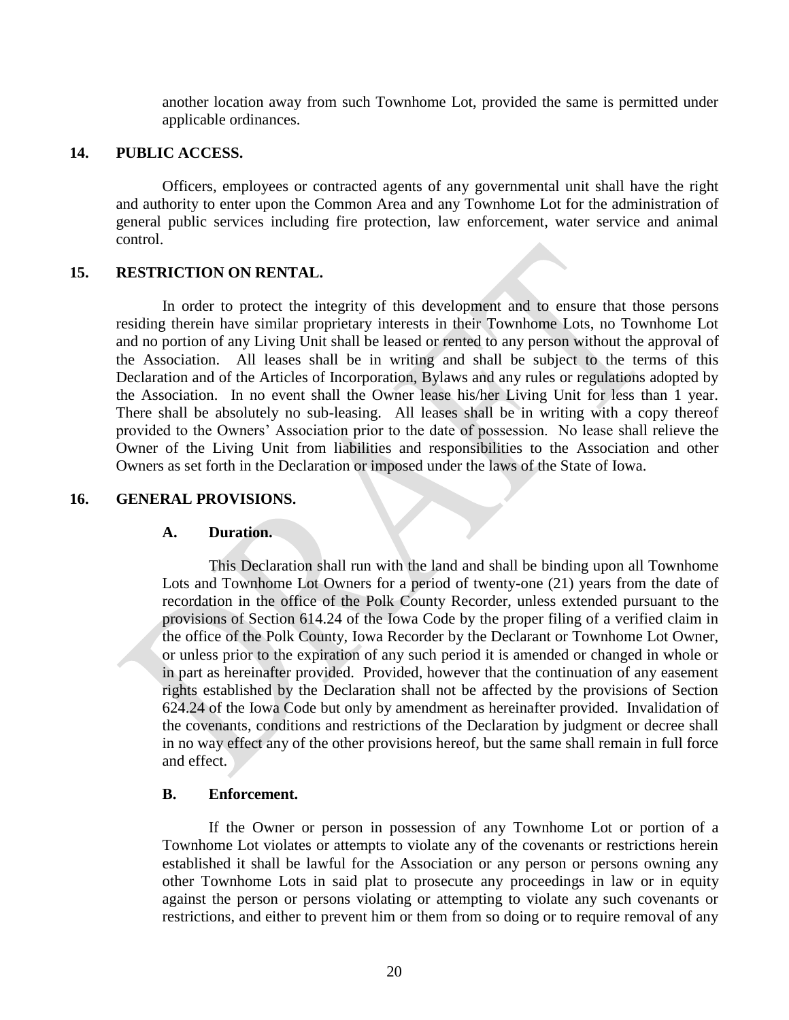another location away from such Townhome Lot, provided the same is permitted under applicable ordinances.

#### **14. PUBLIC ACCESS.**

Officers, employees or contracted agents of any governmental unit shall have the right and authority to enter upon the Common Area and any Townhome Lot for the administration of general public services including fire protection, law enforcement, water service and animal control.

#### **15. RESTRICTION ON RENTAL.**

In order to protect the integrity of this development and to ensure that those persons residing therein have similar proprietary interests in their Townhome Lots, no Townhome Lot and no portion of any Living Unit shall be leased or rented to any person without the approval of the Association. All leases shall be in writing and shall be subject to the terms of this Declaration and of the Articles of Incorporation, Bylaws and any rules or regulations adopted by the Association. In no event shall the Owner lease his/her Living Unit for less than 1 year. There shall be absolutely no sub-leasing. All leases shall be in writing with a copy thereof provided to the Owners' Association prior to the date of possession. No lease shall relieve the Owner of the Living Unit from liabilities and responsibilities to the Association and other Owners as set forth in the Declaration or imposed under the laws of the State of Iowa.

#### **16. GENERAL PROVISIONS.**

#### **A. Duration.**

This Declaration shall run with the land and shall be binding upon all Townhome Lots and Townhome Lot Owners for a period of twenty-one (21) years from the date of recordation in the office of the Polk County Recorder, unless extended pursuant to the provisions of Section 614.24 of the Iowa Code by the proper filing of a verified claim in the office of the Polk County, Iowa Recorder by the Declarant or Townhome Lot Owner, or unless prior to the expiration of any such period it is amended or changed in whole or in part as hereinafter provided. Provided, however that the continuation of any easement rights established by the Declaration shall not be affected by the provisions of Section 624.24 of the Iowa Code but only by amendment as hereinafter provided. Invalidation of the covenants, conditions and restrictions of the Declaration by judgment or decree shall in no way effect any of the other provisions hereof, but the same shall remain in full force and effect.

#### **B. Enforcement.**

If the Owner or person in possession of any Townhome Lot or portion of a Townhome Lot violates or attempts to violate any of the covenants or restrictions herein established it shall be lawful for the Association or any person or persons owning any other Townhome Lots in said plat to prosecute any proceedings in law or in equity against the person or persons violating or attempting to violate any such covenants or restrictions, and either to prevent him or them from so doing or to require removal of any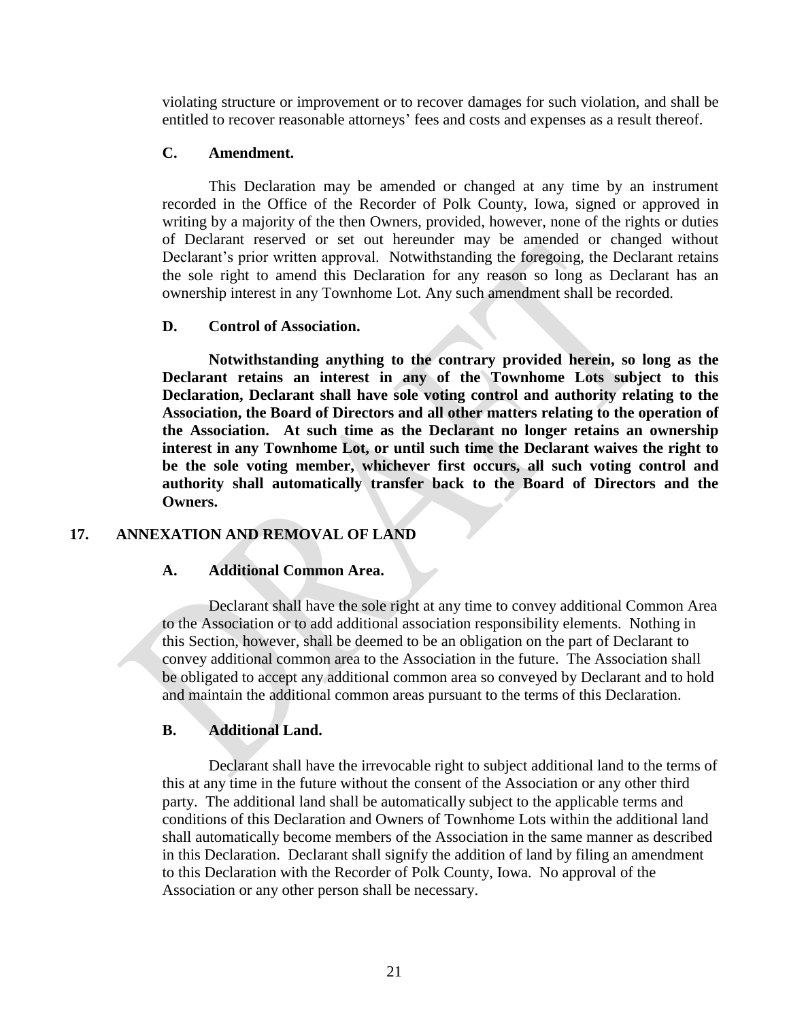violating structure or improvement or to recover damages for such violation, and shall be entitled to recover reasonable attorneys' fees and costs and expenses as a result thereof.

#### **C. Amendment.**

This Declaration may be amended or changed at any time by an instrument recorded in the Office of the Recorder of Polk County, Iowa, signed or approved in writing by a majority of the then Owners, provided, however, none of the rights or duties of Declarant reserved or set out hereunder may be amended or changed without Declarant's prior written approval. Notwithstanding the foregoing, the Declarant retains the sole right to amend this Declaration for any reason so long as Declarant has an ownership interest in any Townhome Lot. Any such amendment shall be recorded.

#### **D. Control of Association.**

**Notwithstanding anything to the contrary provided herein, so long as the Declarant retains an interest in any of the Townhome Lots subject to this Declaration, Declarant shall have sole voting control and authority relating to the Association, the Board of Directors and all other matters relating to the operation of the Association. At such time as the Declarant no longer retains an ownership interest in any Townhome Lot, or until such time the Declarant waives the right to be the sole voting member, whichever first occurs, all such voting control and authority shall automatically transfer back to the Board of Directors and the Owners.**

#### **17. ANNEXATION AND REMOVAL OF LAND**

#### **A. Additional Common Area.**

Declarant shall have the sole right at any time to convey additional Common Area to the Association or to add additional association responsibility elements. Nothing in this Section, however, shall be deemed to be an obligation on the part of Declarant to convey additional common area to the Association in the future. The Association shall be obligated to accept any additional common area so conveyed by Declarant and to hold and maintain the additional common areas pursuant to the terms of this Declaration.

#### **B. Additional Land.**

Declarant shall have the irrevocable right to subject additional land to the terms of this at any time in the future without the consent of the Association or any other third party. The additional land shall be automatically subject to the applicable terms and conditions of this Declaration and Owners of Townhome Lots within the additional land shall automatically become members of the Association in the same manner as described in this Declaration. Declarant shall signify the addition of land by filing an amendment to this Declaration with the Recorder of Polk County, Iowa. No approval of the Association or any other person shall be necessary.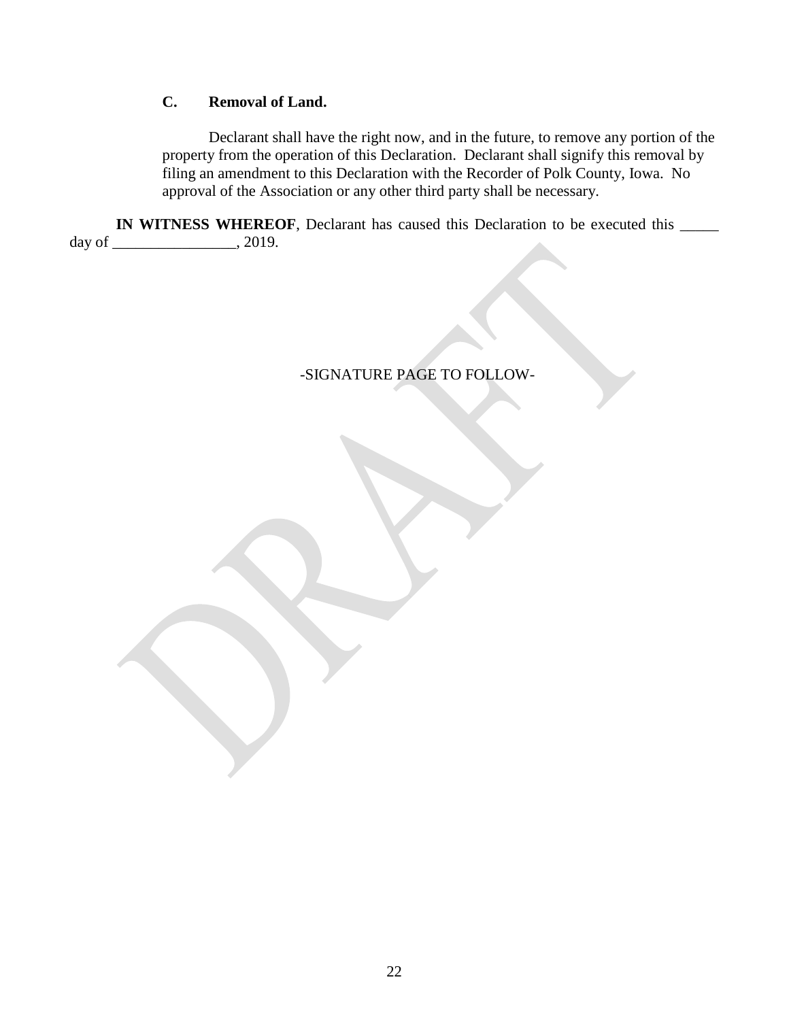## **C. Removal of Land.**

Declarant shall have the right now, and in the future, to remove any portion of the property from the operation of this Declaration. Declarant shall signify this removal by filing an amendment to this Declaration with the Recorder of Polk County, Iowa. No approval of the Association or any other third party shall be necessary.

**IN WITNESS WHEREOF**, Declarant has caused this Declaration to be executed this \_\_\_\_\_ day of \_\_\_\_\_\_\_\_\_\_\_\_\_\_\_\_, 2019.

## -SIGNATURE PAGE TO FOLLOW-